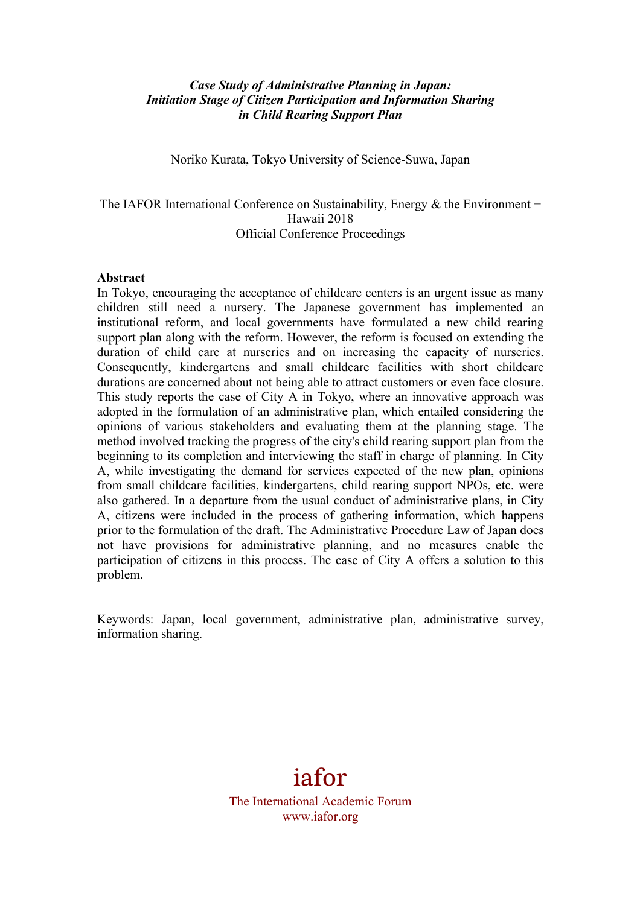## *Case Study of Administrative Planning in Japan: Initiation Stage of Citizen Participation and Information Sharing in Child Rearing Support Plan*

Noriko Kurata, Tokyo University of Science-Suwa, Japan

The IAFOR International Conference on Sustainability, Energy & the Environment – Hawaii 2018 Official Conference Proceedings

#### **Abstract**

In Tokyo, encouraging the acceptance of childcare centers is an urgent issue as many children still need a nursery. The Japanese government has implemented an institutional reform, and local governments have formulated a new child rearing support plan along with the reform. However, the reform is focused on extending the duration of child care at nurseries and on increasing the capacity of nurseries. Consequently, kindergartens and small childcare facilities with short childcare durations are concerned about not being able to attract customers or even face closure. This study reports the case of City A in Tokyo, where an innovative approach was adopted in the formulation of an administrative plan, which entailed considering the opinions of various stakeholders and evaluating them at the planning stage. The method involved tracking the progress of the city's child rearing support plan from the beginning to its completion and interviewing the staff in charge of planning. In City A, while investigating the demand for services expected of the new plan, opinions from small childcare facilities, kindergartens, child rearing support NPOs, etc. were also gathered. In a departure from the usual conduct of administrative plans, in City A, citizens were included in the process of gathering information, which happens prior to the formulation of the draft. The Administrative Procedure Law of Japan does not have provisions for administrative planning, and no measures enable the participation of citizens in this process. The case of City A offers a solution to this problem.

Keywords: Japan, local government, administrative plan, administrative survey, information sharing.

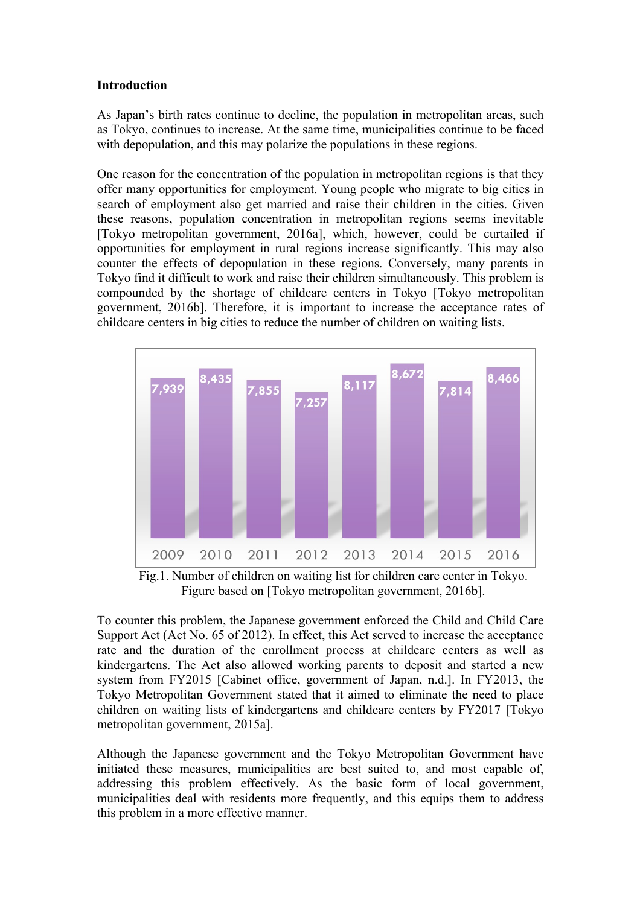## **Introduction**

As Japan's birth rates continue to decline, the population in metropolitan areas, such as Tokyo, continues to increase. At the same time, municipalities continue to be faced with depopulation, and this may polarize the populations in these regions.

One reason for the concentration of the population in metropolitan regions is that they offer many opportunities for employment. Young people who migrate to big cities in search of employment also get married and raise their children in the cities. Given these reasons, population concentration in metropolitan regions seems inevitable [Tokyo metropolitan government, 2016a], which, however, could be curtailed if opportunities for employment in rural regions increase significantly. This may also counter the effects of depopulation in these regions. Conversely, many parents in Tokyo find it difficult to work and raise their children simultaneously. This problem is compounded by the shortage of childcare centers in Tokyo [Tokyo metropolitan government, 2016b]. Therefore, it is important to increase the acceptance rates of childcare centers in big cities to reduce the number of children on waiting lists.



Fig.1. Number of children on waiting list for children care center in Tokyo. Figure based on [Tokyo metropolitan government, 2016b].

To counter this problem, the Japanese government enforced the Child and Child Care Support Act (Act No. 65 of 2012). In effect, this Act served to increase the acceptance rate and the duration of the enrollment process at childcare centers as well as kindergartens. The Act also allowed working parents to deposit and started a new system from FY2015 [Cabinet office, government of Japan, n.d.]. In FY2013, the Tokyo Metropolitan Government stated that it aimed to eliminate the need to place children on waiting lists of kindergartens and childcare centers by FY2017 [Tokyo metropolitan government, 2015a].

Although the Japanese government and the Tokyo Metropolitan Government have initiated these measures, municipalities are best suited to, and most capable of, addressing this problem effectively. As the basic form of local government, municipalities deal with residents more frequently, and this equips them to address this problem in a more effective manner.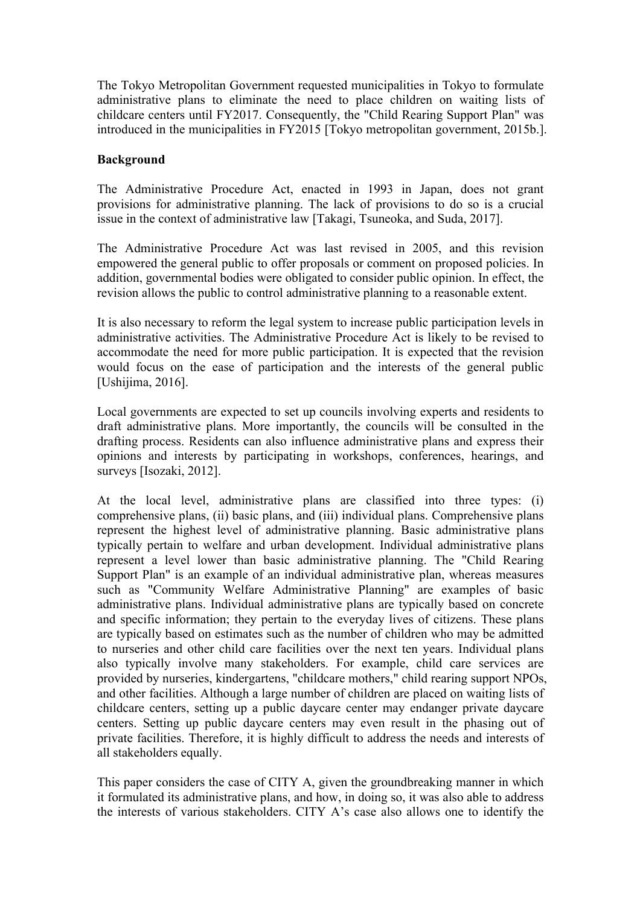The Tokyo Metropolitan Government requested municipalities in Tokyo to formulate administrative plans to eliminate the need to place children on waiting lists of childcare centers until FY2017. Consequently, the "Child Rearing Support Plan" was introduced in the municipalities in FY2015 [Tokyo metropolitan government, 2015b.].

## **Background**

The Administrative Procedure Act, enacted in 1993 in Japan, does not grant provisions for administrative planning. The lack of provisions to do so is a crucial issue in the context of administrative law [Takagi, Tsuneoka, and Suda, 2017].

The Administrative Procedure Act was last revised in 2005, and this revision empowered the general public to offer proposals or comment on proposed policies. In addition, governmental bodies were obligated to consider public opinion. In effect, the revision allows the public to control administrative planning to a reasonable extent.

It is also necessary to reform the legal system to increase public participation levels in administrative activities. The Administrative Procedure Act is likely to be revised to accommodate the need for more public participation. It is expected that the revision would focus on the ease of participation and the interests of the general public [Ushijima, 2016].

Local governments are expected to set up councils involving experts and residents to draft administrative plans. More importantly, the councils will be consulted in the drafting process. Residents can also influence administrative plans and express their opinions and interests by participating in workshops, conferences, hearings, and surveys [Isozaki, 2012].

At the local level, administrative plans are classified into three types: (i) comprehensive plans, (ii) basic plans, and (iii) individual plans. Comprehensive plans represent the highest level of administrative planning. Basic administrative plans typically pertain to welfare and urban development. Individual administrative plans represent a level lower than basic administrative planning. The "Child Rearing Support Plan" is an example of an individual administrative plan, whereas measures such as "Community Welfare Administrative Planning" are examples of basic administrative plans. Individual administrative plans are typically based on concrete and specific information; they pertain to the everyday lives of citizens. These plans are typically based on estimates such as the number of children who may be admitted to nurseries and other child care facilities over the next ten years. Individual plans also typically involve many stakeholders. For example, child care services are provided by nurseries, kindergartens, "childcare mothers," child rearing support NPOs, and other facilities. Although a large number of children are placed on waiting lists of childcare centers, setting up a public daycare center may endanger private daycare centers. Setting up public daycare centers may even result in the phasing out of private facilities. Therefore, it is highly difficult to address the needs and interests of all stakeholders equally.

This paper considers the case of CITY A, given the groundbreaking manner in which it formulated its administrative plans, and how, in doing so, it was also able to address the interests of various stakeholders. CITY A's case also allows one to identify the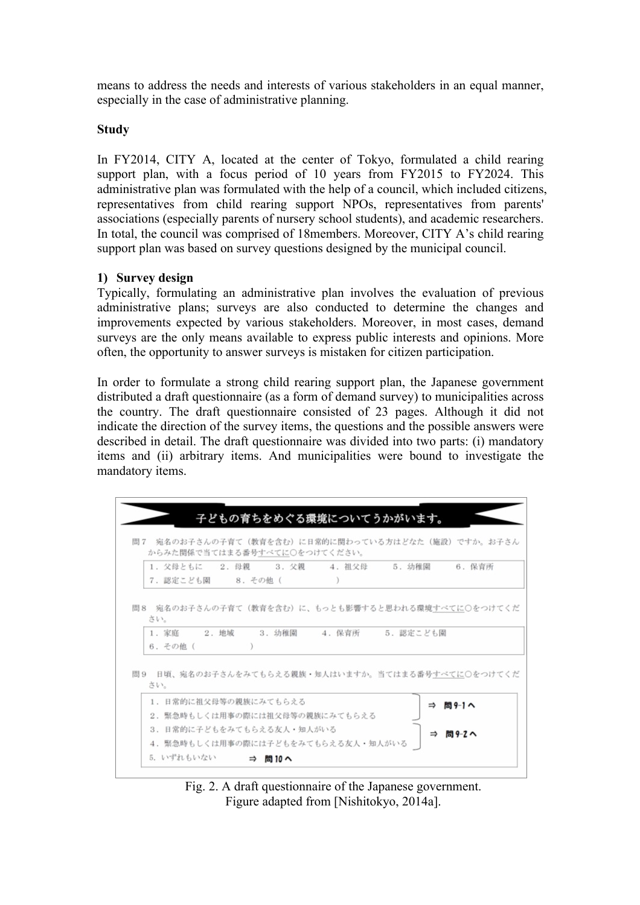means to address the needs and interests of various stakeholders in an equal manner, especially in the case of administrative planning.

#### **Study**

In FY2014, CITY A, located at the center of Tokyo, formulated a child rearing support plan, with a focus period of 10 years from FY2015 to FY2024. This administrative plan was formulated with the help of a council, which included citizens, representatives from child rearing support NPOs, representatives from parents' associations (especially parents of nursery school students), and academic researchers. In total, the council was comprised of 18members. Moreover, CITY A's child rearing support plan was based on survey questions designed by the municipal council.

## **1) Survey design**

Typically, formulating an administrative plan involves the evaluation of previous administrative plans; surveys are also conducted to determine the changes and improvements expected by various stakeholders. Moreover, in most cases, demand surveys are the only means available to express public interests and opinions. More often, the opportunity to answer surveys is mistaken for citizen participation.

In order to formulate a strong child rearing support plan, the Japanese government distributed a draft questionnaire (as a form of demand survey) to municipalities across the country. The draft questionnaire consisted of 23 pages. Although it did not indicate the direction of the survey items, the questions and the possible answers were described in detail. The draft questionnaire was divided into two parts: (i) mandatory items and (ii) arbitrary items. And municipalities were bound to investigate the mandatory items.

| からみた関係で当てはまる番号すべてに〇をつけてください。<br>1. 父母ともに 2. 母親 3. 父親 4. 祖父母<br>間8 宛名のお子さんの子育て(教育を含む)に、もっとも影響すると思われる環境すべてに○をつけてくだ | 5. 幼稚園                         | 6. 保育所                                                                       |
|------------------------------------------------------------------------------------------------------------------|--------------------------------|------------------------------------------------------------------------------|
|                                                                                                                  |                                |                                                                              |
|                                                                                                                  |                                |                                                                              |
|                                                                                                                  |                                |                                                                              |
|                                                                                                                  |                                |                                                                              |
|                                                                                                                  |                                |                                                                              |
| 1. 日常的に祖父母等の親族にみてもらえる                                                                                            | ⇒ 問9-1へ                        |                                                                              |
|                                                                                                                  |                                |                                                                              |
|                                                                                                                  |                                |                                                                              |
|                                                                                                                  | 2. 緊急時もしくは用事の際には祖父母等の親族にみてもらえる | 3. 幼稚園 4. 保育所 5. 認定こども園<br>問9 日頃、宛名のお子さんをみてもらえる親族・知人はいますか。当てはまる番号すべてに○をつけてくだ |

Fig. 2. A draft questionnaire of the Japanese government. Figure adapted from [Nishitokyo, 2014a].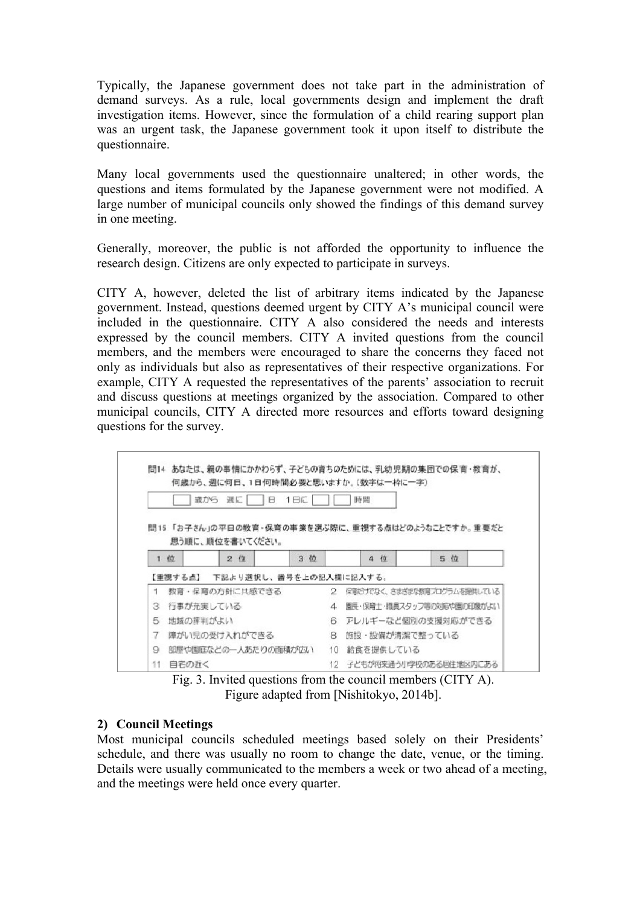Typically, the Japanese government does not take part in the administration of demand surveys. As a rule, local governments design and implement the draft investigation items. However, since the formulation of a child rearing support plan was an urgent task, the Japanese government took it upon itself to distribute the questionnaire.

Many local governments used the questionnaire unaltered; in other words, the questions and items formulated by the Japanese government were not modified. A large number of municipal councils only showed the findings of this demand survey in one meeting.

Generally, moreover, the public is not afforded the opportunity to influence the research design. Citizens are only expected to participate in surveys.

CITY A, however, deleted the list of arbitrary items indicated by the Japanese government. Instead, questions deemed urgent by CITY A's municipal council were included in the questionnaire. CITY A also considered the needs and interests expressed by the council members. CITY A invited questions from the council members, and the members were encouraged to share the concerns they faced not only as individuals but also as representatives of their respective organizations. For example, CITY A requested the representatives of the parents' association to recruit and discuss questions at meetings organized by the association. Compared to other municipal councils, CITY A directed more resources and efforts toward designing questions for the survey.

|                     |                          |     |              | 問15 「お子さん」の平日の教育・保育の事業を選ぶ際に、重視する点はどのようなことですか。 重要だと |     |  |  |
|---------------------|--------------------------|-----|--------------|----------------------------------------------------|-----|--|--|
|                     | 思う順に、順位を書いてください。         |     |              |                                                    |     |  |  |
| 位<br>1              | 2 位                      | 3 位 |              | 4 位                                                | 5 位 |  |  |
| 【重視する点】             | 下記より選択し、番号を上の記入欄に記入する。   |     |              |                                                    |     |  |  |
| 1<br>数育・保育の方針に共感できる |                          |     | 2            | 保育だけでなく、さまざまな教育プログラムを提供している                        |     |  |  |
| з                   | 行事が充実している                |     | $\mathbf{4}$ | 園長・保育士・職員スタッフ等の対応や園の印象がよい                          |     |  |  |
| 5<br>地域の評判がよい       |                          |     | 6            | アレルギーなど個別の支援対応ができる                                 |     |  |  |
| 障がい児の受け入れができる       |                          |     | 8            | 施設・設備が清潔で整っている                                     |     |  |  |
|                     | 9<br>部屋や園庭などの一人あたりの面積が広い |     |              | 10 給食を提供している                                       |     |  |  |
| 7                   |                          |     |              |                                                    |     |  |  |

Fig. 3. Invited questions from the council members (CITY A). Figure adapted from [Nishitokyo, 2014b].

# **2) Council Meetings**

Most municipal councils scheduled meetings based solely on their Presidents' schedule, and there was usually no room to change the date, venue, or the timing. Details were usually communicated to the members a week or two ahead of a meeting, and the meetings were held once every quarter.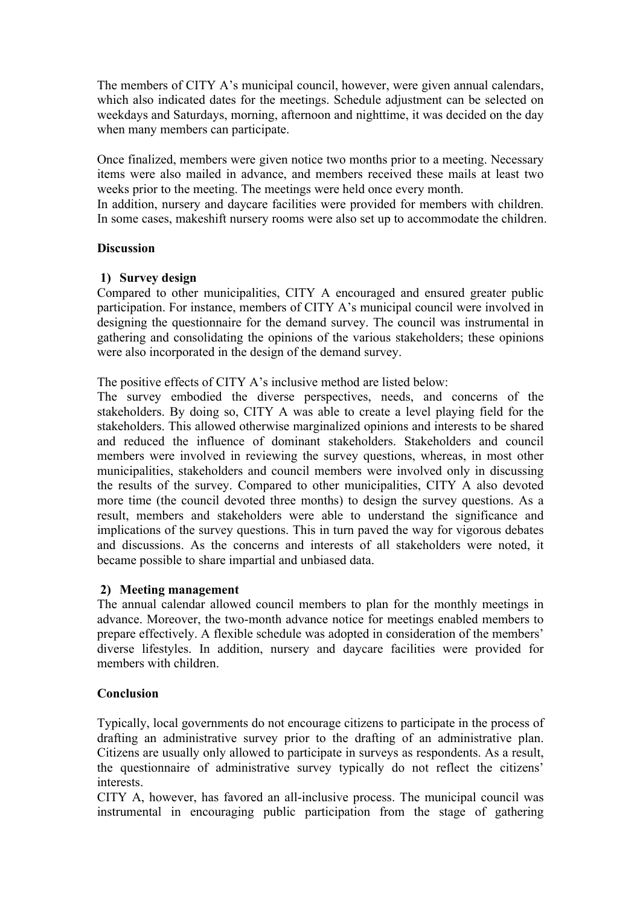The members of CITY A's municipal council, however, were given annual calendars, which also indicated dates for the meetings. Schedule adjustment can be selected on weekdays and Saturdays, morning, afternoon and nighttime, it was decided on the day when many members can participate.

Once finalized, members were given notice two months prior to a meeting. Necessary items were also mailed in advance, and members received these mails at least two weeks prior to the meeting. The meetings were held once every month.

In addition, nursery and daycare facilities were provided for members with children. In some cases, makeshift nursery rooms were also set up to accommodate the children.

## **Discussion**

## **1) Survey design**

Compared to other municipalities, CITY A encouraged and ensured greater public participation. For instance, members of CITY A's municipal council were involved in designing the questionnaire for the demand survey. The council was instrumental in gathering and consolidating the opinions of the various stakeholders; these opinions were also incorporated in the design of the demand survey.

The positive effects of CITY A's inclusive method are listed below:

The survey embodied the diverse perspectives, needs, and concerns of the stakeholders. By doing so, CITY A was able to create a level playing field for the stakeholders. This allowed otherwise marginalized opinions and interests to be shared and reduced the influence of dominant stakeholders. Stakeholders and council members were involved in reviewing the survey questions, whereas, in most other municipalities, stakeholders and council members were involved only in discussing the results of the survey. Compared to other municipalities, CITY A also devoted more time (the council devoted three months) to design the survey questions. As a result, members and stakeholders were able to understand the significance and implications of the survey questions. This in turn paved the way for vigorous debates and discussions. As the concerns and interests of all stakeholders were noted, it became possible to share impartial and unbiased data.

# **2) Meeting management**

The annual calendar allowed council members to plan for the monthly meetings in advance. Moreover, the two-month advance notice for meetings enabled members to prepare effectively. A flexible schedule was adopted in consideration of the members' diverse lifestyles. In addition, nursery and daycare facilities were provided for members with children.

# **Conclusion**

Typically, local governments do not encourage citizens to participate in the process of drafting an administrative survey prior to the drafting of an administrative plan. Citizens are usually only allowed to participate in surveys as respondents. As a result, the questionnaire of administrative survey typically do not reflect the citizens' interests.

CITY A, however, has favored an all-inclusive process. The municipal council was instrumental in encouraging public participation from the stage of gathering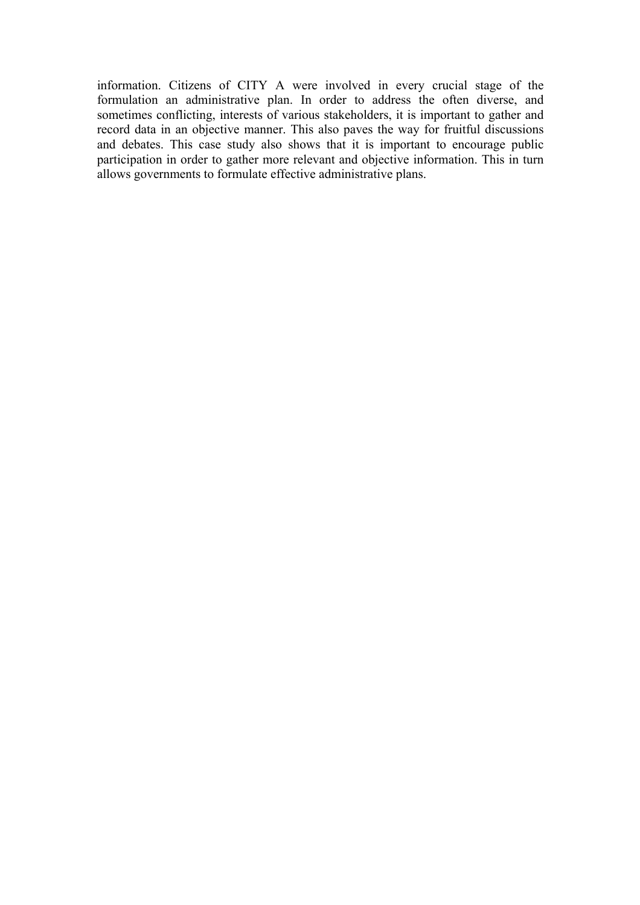information. Citizens of CITY A were involved in every crucial stage of the formulation an administrative plan. In order to address the often diverse, and sometimes conflicting, interests of various stakeholders, it is important to gather and record data in an objective manner. This also paves the way for fruitful discussions and debates. This case study also shows that it is important to encourage public participation in order to gather more relevant and objective information. This in turn allows governments to formulate effective administrative plans.